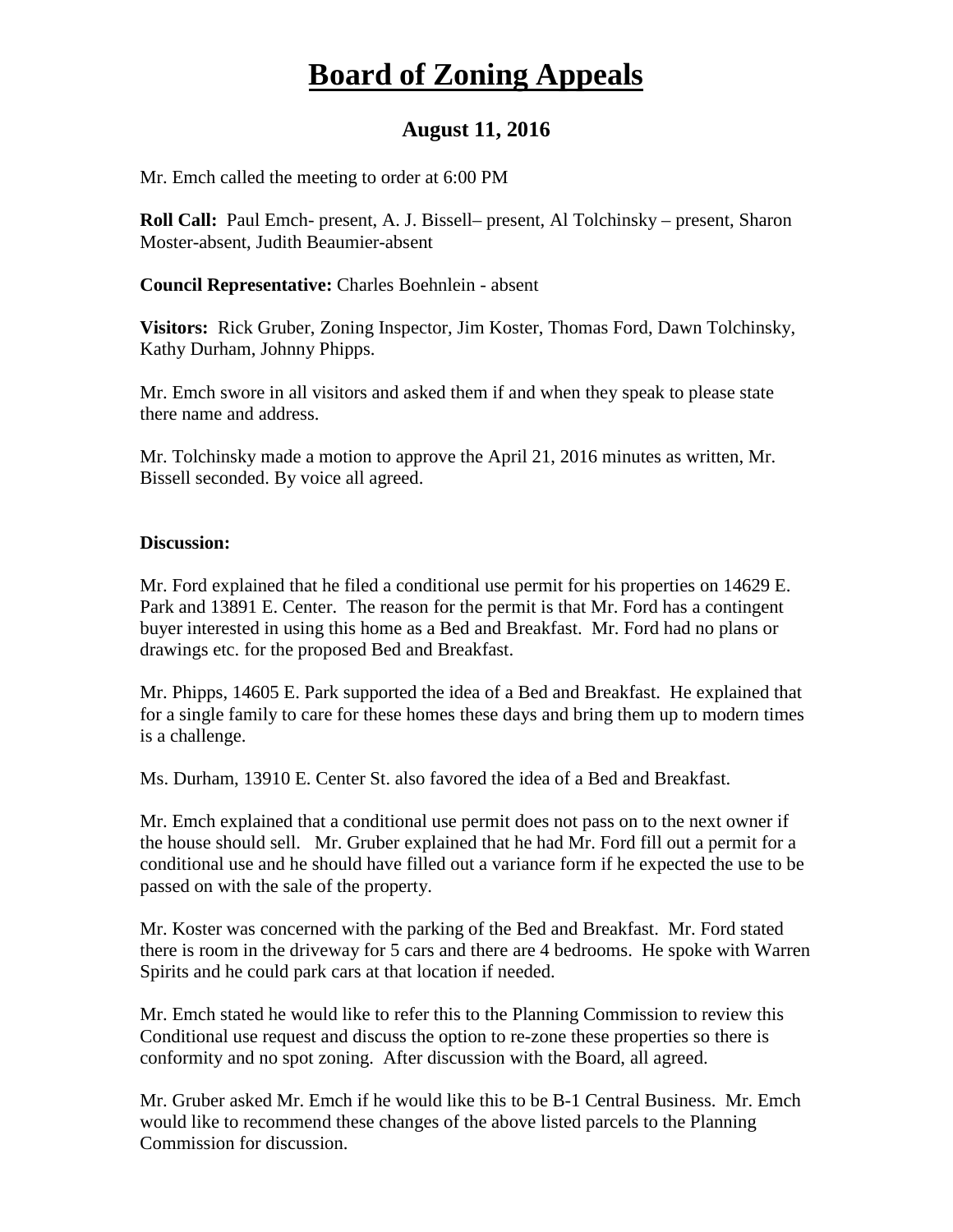## **Board of Zoning Appeals**

## **August 11, 2016**

Mr. Emch called the meeting to order at 6:00 PM

**Roll Call:** Paul Emch- present, A. J. Bissell– present, Al Tolchinsky – present, Sharon Moster-absent, Judith Beaumier-absent

**Council Representative:** Charles Boehnlein - absent

**Visitors:** Rick Gruber, Zoning Inspector, Jim Koster, Thomas Ford, Dawn Tolchinsky, Kathy Durham, Johnny Phipps.

Mr. Emch swore in all visitors and asked them if and when they speak to please state there name and address.

Mr. Tolchinsky made a motion to approve the April 21, 2016 minutes as written, Mr. Bissell seconded. By voice all agreed.

## **Discussion:**

Mr. Ford explained that he filed a conditional use permit for his properties on 14629 E. Park and 13891 E. Center. The reason for the permit is that Mr. Ford has a contingent buyer interested in using this home as a Bed and Breakfast. Mr. Ford had no plans or drawings etc. for the proposed Bed and Breakfast.

Mr. Phipps, 14605 E. Park supported the idea of a Bed and Breakfast. He explained that for a single family to care for these homes these days and bring them up to modern times is a challenge.

Ms. Durham, 13910 E. Center St. also favored the idea of a Bed and Breakfast.

Mr. Emch explained that a conditional use permit does not pass on to the next owner if the house should sell. Mr. Gruber explained that he had Mr. Ford fill out a permit for a conditional use and he should have filled out a variance form if he expected the use to be passed on with the sale of the property.

Mr. Koster was concerned with the parking of the Bed and Breakfast. Mr. Ford stated there is room in the driveway for 5 cars and there are 4 bedrooms. He spoke with Warren Spirits and he could park cars at that location if needed.

Mr. Emch stated he would like to refer this to the Planning Commission to review this Conditional use request and discuss the option to re-zone these properties so there is conformity and no spot zoning. After discussion with the Board, all agreed.

Mr. Gruber asked Mr. Emch if he would like this to be B-1 Central Business. Mr. Emch would like to recommend these changes of the above listed parcels to the Planning Commission for discussion.